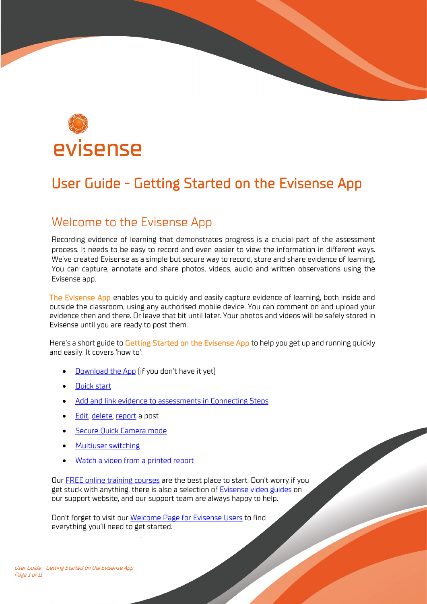

# User Guide - Getting Started on the Evisense App

## Welcome to the Evisense App

Recording evidence of learning that demonstrates progress is a crucial part of the assessment process. It needs to be easy to record and even easier to view the information in different ways. We've created Evisense as a simple but secure way to record, store and share evidence of learning. You can capture, annotate and share photos, videos, audio and written observations using the Evisense app.

The Evisense App enables you to quickly and easily capture evidence of learning, both inside and outside the classroom, using any authorised mobile device. You can comment on and upload your evidence then and there. Or leave that bit until later. Your photos and videos will be safely stored in Evisense until you are ready to post them.

Here's a short guide to Getting Started on the Evisense App to help you get up and running quickly and easily. It covers 'how to':

- [Download the App](#page-1-0) (if you don't have it yet)
- [Quick start](#page-3-0)
- [Add and link evidence to assessments in Connecting Steps](#page-5-0)
- [Edit,](#page-6-0) [delete,](#page-7-0) [report a](#page-7-1) post
- [Secure Quick Camera mode](#page-8-0)
- [Multiuser switching](#page-9-0)
- [Watch a video from a printed report](#page-9-1)

Our [FREE online training courses](https://support.bsquared.co.uk/training?utm_source=Evisense&utm_medium=User-Guide-App&utm_campaign=FREE-Online-Courses) are the best place to start. Don't worry if you get stuck with anything, there is also a selection of [Evisense video guides](https://support.bsquared.co.uk/evisense/category/video-guides/?utm_source=Evisense&utm_medium=UserGuide&utm_campaign=EVISupportSite-VideoGuides) on our support website, and our support team are always happy to help.

Don't forget to visit ou[r Welcome Page for Evisense Users](https://support.bsquared.co.uk/welcome-evisense-user?utm_source=Evisense&utm_medium=User-Guide-App&utm_campaign=EVI-Users-Welcome-Page) to find everything you'll need to get started.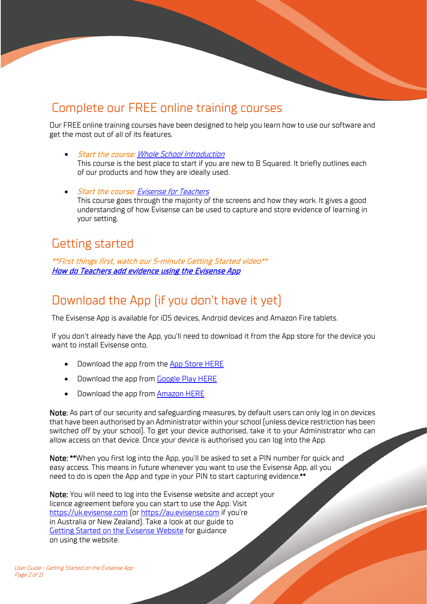## Complete our FREE online training courses

Our FREE online training courses have been designed to help you learn how to use our software and get the most out of all of its features.

- Start the course: [Whole School Introduction](https://support.bsquared.co.uk/courses/whole-school-introduction?utm_source=Evisense&utm_medium=User-Guide-App&utm_campaign=Whole-School-Training-Video) This course is the best place to start if you are new to B Squared. It briefly outlines each of our products and how they are ideally used.
- Start the course: [Evisense for Teachers](https://support.bsquared.co.uk/courses/evisense-for-teachers?utm_source=Evisense&utm_medium=User-Guide-App&utm_campaign=EvisenseforTeachers-Training-Video) This course goes through the majority of the screens and how they work. It gives a good understanding of how Evisense can be used to capture and store evidence of learning in your setting.

### Getting started

\*\*First things first, watch our 5-minute Getting Started video\*\* [How do Teachers add evidence using the Evisense App](https://support.bsquared.co.uk/evisense/how-do-i-add-evidence-using-the-evisense-app/?utm_source=Evisense&utm_medium=UserGuide&utm_campaign=EVISupportSite-TeachersAddEvidence) 

# <span id="page-1-0"></span>Download the App (if you don't have it yet)

The Evisense App is available for iOS devices, Android devices and Amazon Fire tablets.

If you don't already have the App, you'll need to download it from the App store for the device you want to install Evisense onto.

- Download the app from the [App Store HERE](https://apps.apple.com/gb/developer/b-squared/id689172373)
- Download the app from [Google Play HERE](https://play.google.com/store/apps/developer?id=B%20Squared%20Ltd)
- Download the app from [Amazon HERE](https://www.amazon.co.uk/gp/product/B01LM5BBKE)

Note: As part of our security and safeguarding measures, by default users can only log in on devices that have been authorised by an Administrator within your school (unless device restriction has been switched off by your school). To get your device authorised, take it to your Administrator who can allow access on that device. Once your device is authorised you can log into the App.

Note: \*\*When you first log into the App, you'll be asked to set a PIN number for quick and easy access. This means in future whenever you want to use the Evisense App, all you need to do is open the App and type in your PIN to start capturing evidence.\*\*

Note: You will need to log into the Evisense website and accept your licence agreement before you can start to use the App. Visit [https://uk.evisense.com](https://uk.evisense.com/) (o[r https://au.evisense.com](https://au.evisense.com/) if you're in Australia or New Zealand). Take a look at our guide to [Getting Started on the Evisense Website](https://support.bsquared.co.uk/evisense/user-guide-getting-started-on-the-evisense-website?utm_source=Evisense&utm_medium=UserGuide&utm_campaign=EVISupportSite-WebsiteGettingStartedGuide) for guidance on using the website.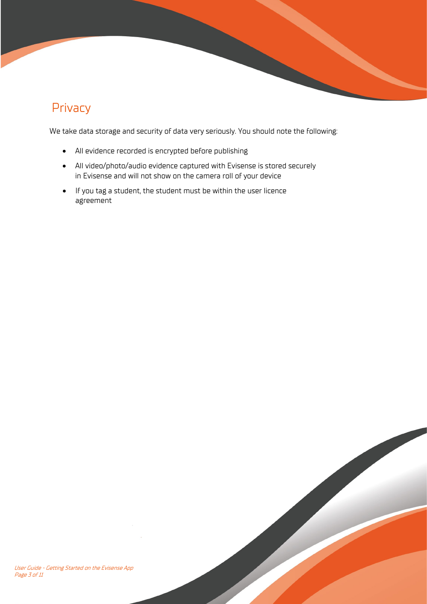# Privacy

We take data storage and security of data very seriously. You should note the following:

- All evidence recorded is encrypted before publishing
- All video/photo/audio evidence captured with Evisense is stored securely in Evisense and will not show on the camera roll of your device
- If you tag a student, the student must be within the user licence agreement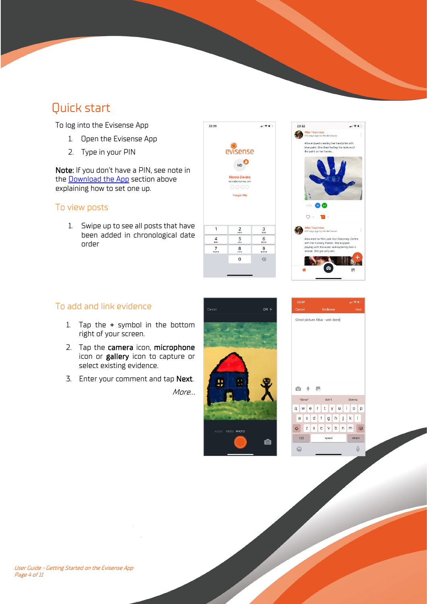# <span id="page-3-0"></span>Quick start

To log into the Evisense App

- 1. Open the Evisense App
- 2. Type in your PIN

Note: If you don't have a PIN, see note in the [Download the App](#page-1-0) section above explaining how to set one up.

### To view posts

1. Swipe up to see all posts that have been added in chronological date order





### To add and link evidence

- 1. Tap the + symbol in the bottom right of your screen.
- 2. Tap the camera icon, microphone icon or gallery icon to capture or select existing evidence.
- 3. Enter your comment and tap Next.

More…



| $\mathbb Q$<br>o                                             | k.                           |                                    |
|--------------------------------------------------------------|------------------------------|------------------------------------|
| "done"                                                       | don't                        | Donna                              |
| Li<br>  t<br>l r<br>l u<br>W<br>le<br>У<br>q<br>$\circ$<br>p |                              |                                    |
| S<br>a                                                       | d<br>$^\mathrm{f}$<br>h<br>g | j<br>$\overline{\phantom{a}}$<br>k |
| ♦<br>Z                                                       | b<br>$\mathbf C$<br>X<br>V   | n<br>m<br>$\circledcirc$           |
| 123                                                          | space                        | return                             |
|                                                              |                              |                                    |
| હ                                                            |                              | Φ                                  |

Great picture Alba - well done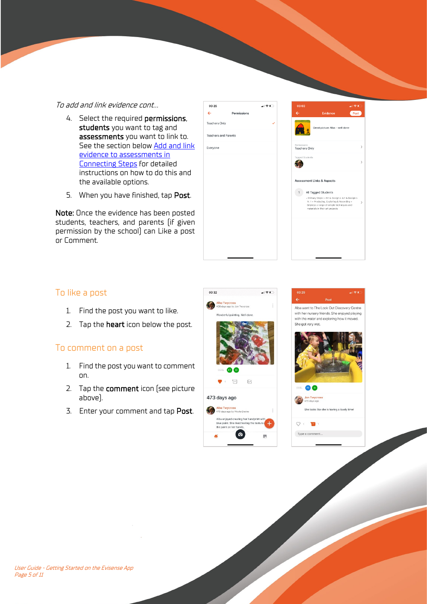#### To add and link evidence cont…

4. Select the required permissions, students you want to tag and assessments you want to link to. See the section below Add and link [evidence to assessments in](#page-5-0)  [Connecting Steps](#page-5-0) for detailed instructions on how to do this and the available options.

 $\leftarrow$ 

00:32

5. When you have finished, tap Post.

Note: Once the evidence has been posted students, teachers, and parents (if given permission by the school) can Like a post or Comment.



al e i

Alba went to The Look Out Discovery Centre with her nursery friends. She enjoyed playing with the water and exploring how it moved.

She got very wet.

角角

 $Q + \blacksquare$ Type a comment...

Jon Twycross<br>473 days ago

She looks like she is having a lovely time!

### To like a post

- 1. Find the post you want to like.
- 2. Tap the **heart** icon below the post.

### To comment on a post

- 1. Find the post you want to comment on.
- 2. Tap the comment icon (see picture above).
- 3. Enter your comment and tap Post.



 $\mathbf{d}$ 

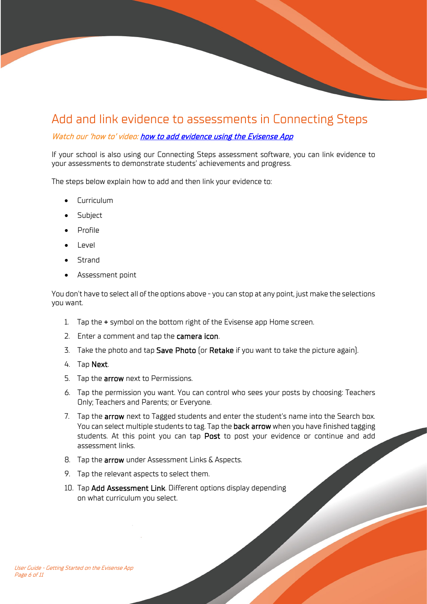## <span id="page-5-0"></span>Add and link evidence to assessments in Connecting Steps

#### Watch our 'how to' video: how to add evidence using the Evisense App

If your school is also using our Connecting Steps assessment software, you can link evidence to your assessments to demonstrate students' achievements and progress.

The steps below explain how to add and then link your evidence to:

- Curriculum
- **Subject**
- Profile
- Level
- Strand
- Assessment point

You don't have to select all of the options above - you can stop at any point, just make the selections you want.

- 1. Tap the + symbol on the bottom right of the Evisense app Home screen.
- 2. Enter a comment and tap the **camera icon**.
- 3. Take the photo and tap Save Photo (or Retake if you want to take the picture again).
- 4. Tap Next.
- 5. Tap the **arrow** next to Permissions.
- 6. Tap the permission you want. You can control who sees your posts by choosing: Teachers Only; Teachers and Parents; or Everyone.
- 7. Tap the **arrow** next to Tagged students and enter the student's name into the Search box. You can select multiple students to tag. Tap the back arrow when you have finished tagging students. At this point you can tap Post to post your evidence or continue and add assessment links.
- 8. Tap the **arrow** under Assessment Links & Aspects.
- 9. Tap the relevant aspects to select them.
- 10. Tap Add Assessment Link. Different options display depending on what curriculum you select.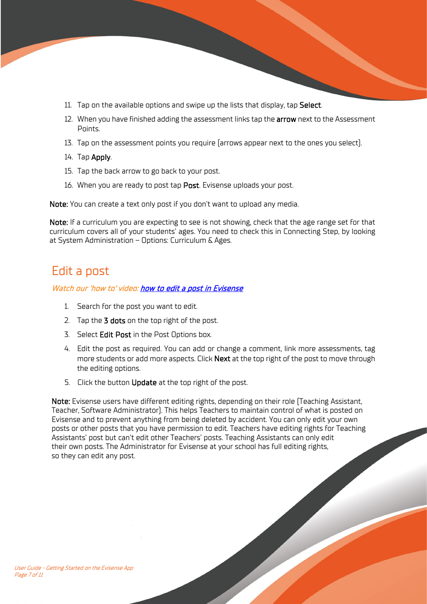- 11. Tap on the available options and swipe up the lists that display, tap Select.
- 12. When you have finished adding the assessment links tap the **arrow** next to the Assessment Points.
- 13. Tap on the assessment points you require (arrows appear next to the ones you select).
- 14. Tap Apply.
- 15. Tap the back arrow to go back to your post.
- 16. When you are ready to post tap Post. Evisense uploads your post.

Note: You can create a text only post if you don't want to upload any media.

Note: If a curriculum you are expecting to see is not showing, check that the age range set for that curriculum covers all of your students' ages. You need to check this in Connecting Step, by looking at System Administration – Options: Curriculum & Ages.

### <span id="page-6-0"></span>Edit a post

### Watch our 'how to' video[: how to edit a post in Evisense](https://support.bsquared.co.uk/evisense/how-to-edit-a-post-in-evisense/?utm_source=Evisense&utm_medium=UserGuide&utm_campaign=EVISupportSiteVideo-EditAPost)

- 1. Search for the post you want to edit.
- 2. Tap the 3 dots on the top right of the post.
- 3. Select Edit Post in the Post Options box.
- 4. Edit the post as required. You can add or change a comment, link more assessments, tag more students or add more aspects. Click **Next** at the top right of the post to move through the editing options.
- 5. Click the button Update at the top right of the post.

Note: Evisense users have different editing rights, depending on their role (Teaching Assistant, Teacher, Software Administrator). This helps Teachers to maintain control of what is posted on Evisense and to prevent anything from being deleted by accident. You can only edit your own posts or other posts that you have permission to edit. Teachers have editing rights for Teaching Assistants' post but can't edit other Teachers' posts. Teaching Assistants can only edit their own posts. The Administrator for Evisense at your school has full editing rights, so they can edit any post.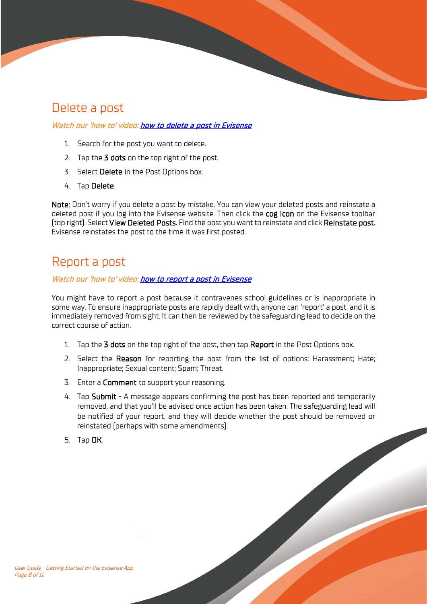# <span id="page-7-0"></span>Delete a post

### Watch our 'how to' video[: how to delete a post in Evisense](https://support.bsquared.co.uk/evisense/how-to-delete-a-post-in-evisense/?utm_source=Evisense&utm_medium=UserGuide&utm_campaign=EVISupportSiteVideo-DeleteAPost)

- 1. Search for the post you want to delete.
- 2. Tap the 3 dots on the top right of the post.
- 3. Select Delete in the Post Options box.
- 4. Tap Delete.

Note: Don't worry if you delete a post by mistake. You can view your deleted posts and reinstate a deleted post if you log into the Evisense website. Then click the cog icon on the Evisense toolbar (top right). Select View Deleted Posts. Find the post you want to reinstate and click Reinstate post. Evisense reinstates the post to the time it was first posted.

## <span id="page-7-1"></span>Report a post

### Watch our 'how to' video[: how to report a post in Evisense](https://support.bsquared.co.uk/evisense/how-to-report-a-post-in-evisense/?utm_source=Evisense&utm_medium=UserGuide&utm_campaign=EVISupportSiteVideo-ReportAPost)

You might have to report a post because it contravenes school guidelines or is inappropriate in some way. To ensure inappropriate posts are rapidly dealt with, anyone can 'report' a post, and it is immediately removed from sight. It can then be reviewed by the safeguarding lead to decide on the correct course of action.

- 1. Tap the 3 dots on the top right of the post, then tap Report in the Post Options box.
- 2. Select the Reason for reporting the post from the list of options: Harassment; Hate; Inappropriate; Sexual content; Spam; Threat.
- 3. Enter a **Comment** to support your reasoning.
- 4. Tap Submit A message appears confirming the post has been reported and temporarily removed, and that you'll be advised once action has been taken. The safeguarding lead will be notified of your report, and they will decide whether the post should be removed or reinstated (perhaps with some amendments).
- 5. Tap OK.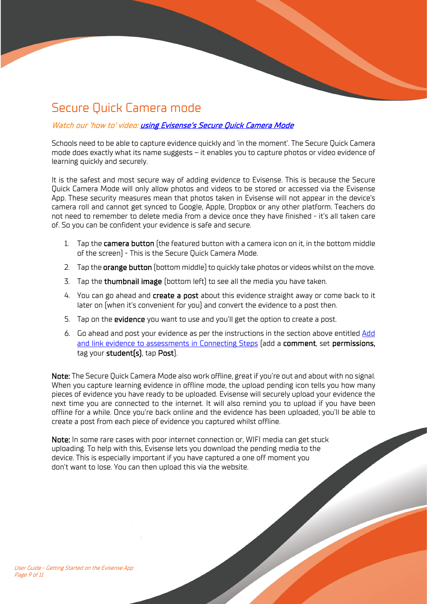# <span id="page-8-0"></span>Secure Quick Camera mode

### Watch our 'how to' video[: using Evisense's Secure Quick Camera Mode](https://support.bsquared.co.uk/evisense/using-evisenses-secure-quick-camera-mode/?utm_source=Evisense&utm_medium=UserGuide&utm_campaign=EVISupportSiteVideo-SecureQuickCameraMode)

Schools need to be able to capture evidence quickly and 'in the moment'. The Secure Quick Camera mode does exactly what its name suggests – it enables you to capture photos or video evidence of learning quickly and securely.

It is the safest and most secure way of adding evidence to Evisense. This is because the Secure Quick Camera Mode will only allow photos and videos to be stored or accessed via the Evisense App. These security measures mean that photos taken in Evisense will not appear in the device's camera roll and cannot get synced to Google, Apple, Dropbox or any other platform. Teachers do not need to remember to delete media from a device once they have finished - it's all taken care of. So you can be confident your evidence is safe and secure.

- 1. Tap the **camera button** (the featured button with a camera icon on it, in the bottom middle of the screen) - This is the Secure Quick Camera Mode.
- 2. Tap the **orange button** (bottom middle) to quickly take photos or videos whilst on the move.
- 3. Tap the thumbnail image (bottom left) to see all the media you have taken.
- 4. You can go ahead and create a post about this evidence straight away or come back to it later on (when it's convenient for you) and convert the evidence to a post then.
- 5. Tap on the evidence you want to use and you'll get the option to create a post.
- 6. Go ahead and post your evidence as per the instructions in the section above entitled [Add](#page-5-0)  [and link evidence to assessments in Connecting Steps](#page-5-0) (add a comment, set permissions, tag your student(s), tap Post).

Note: The Secure Quick Camera Mode also work offline, great if you're out and about with no signal. When you capture learning evidence in offline mode, the upload pending icon tells you how many pieces of evidence you have ready to be uploaded. Evisense will securely upload your evidence the next time you are connected to the internet. It will also remind you to upload if you have been offline for a while. Once you're back online and the evidence has been uploaded, you'll be able to create a post from each piece of evidence you captured whilst offline.

Note: In some rare cases with poor internet connection or, WIFI media can get stuck uploading. To help with this, Evisense lets you download the pending media to the device. This is especially important if you have captured a one off moment you don't want to lose. You can then upload this via the website.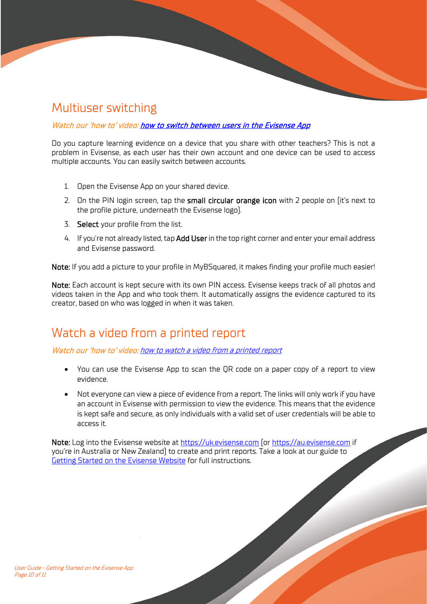## <span id="page-9-0"></span>Multiuser switching

Watch our 'how to' video[: how to switch between users in the Evisense App](https://support.bsquared.co.uk/evisense/how-to-switch-between-users-in-the-evisense-app/?utm_source=Evisense&utm_medium=UserGuide&utm_campaign=EVISupportSiteVideo-SwitchUsers)

Do you capture learning evidence on a device that you share with other teachers? This is not a problem in Evisense, as each user has their own account and one device can be used to access multiple accounts. You can easily switch between accounts.

- 1. Open the Evisense App on your shared device.
- 2. On the PIN login screen, tap the small circular orange icon with 2 people on  $\int$ it's next to the profile picture, underneath the Evisense logo).
- 3. Select your profile from the list.
- 4. If you're not already listed, tap **Add User** in the top right corner and enter your email address and Evisense password.

Note: If you add a picture to your profile in MyBSquared, it makes finding your profile much easier!

Note: Each account is kept secure with its own PIN access. Evisense keeps track of all photos and videos taken in the App and who took them. It automatically assigns the evidence captured to its creator, based on who was logged in when it was taken.

## <span id="page-9-1"></span>Watch a video from a printed report

Watch our 'how to' video: how [to watch a video from a printed report](https://support.bsquared.co.uk/evisense/how-to-watch-a-video-from-a-printed-evisense-report/?utm_source=Evisense&utm_medium=UserGuide&utm_campaign=EVISupportSiteVideo-WatchVideoFromPrintedReport)

- You can use the Evisense App to scan the QR code on a paper copy of a report to view evidence.
- Not everyone can view a piece of evidence from a report. The links will only work if you have an account in Evisense with permission to view the evidence. This means that the evidence is kept safe and secure, as only individuals with a valid set of user credentials will be able to access it.

Note: Log into the Evisense website at [https://uk.evisense.com](https://uk.evisense.com/) (or [https://au.evisense.com](https://au.evisense.com/) if you're in Australia or New Zealand) to create and print reports. Take a look at our guide to [Getting Started on the Evisense Website](https://support.bsquared.co.uk/evisense/user-guide-getting-started-on-the-evisense-website?utm_source=Evisense&utm_medium=UserGuide&utm_campaign=EVISupportSite-WebsiteGettingStartedGuide) for full instructions.